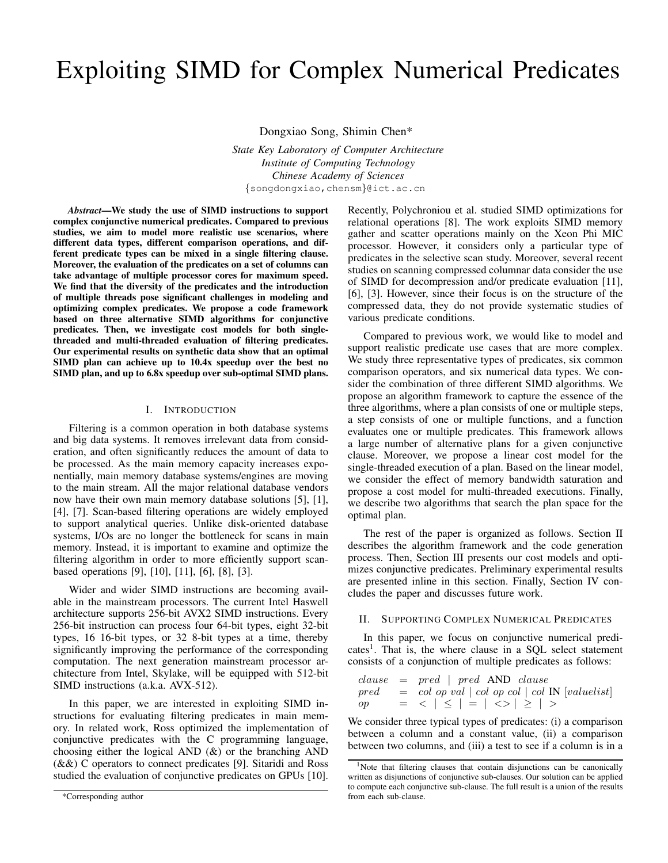# Exploiting SIMD for Complex Numerical Predicates

Dongxiao Song, Shimin Chen\*

*State Key Laboratory of Computer Architecture Institute of Computing Technology Chinese Academy of Sciences* {songdongxiao,chensm}@ict.ac.cn

*Abstract*—We study the use of SIMD instructions to support complex conjunctive numerical predicates. Compared to previous studies, we aim to model more realistic use scenarios, where different data types, different comparison operations, and different predicate types can be mixed in a single filtering clause. Moreover, the evaluation of the predicates on a set of columns can take advantage of multiple processor cores for maximum speed. We find that the diversity of the predicates and the introduction of multiple threads pose significant challenges in modeling and optimizing complex predicates. We propose a code framework based on three alternative SIMD algorithms for conjunctive predicates. Then, we investigate cost models for both singlethreaded and multi-threaded evaluation of filtering predicates. Our experimental results on synthetic data show that an optimal SIMD plan can achieve up to 10.4x speedup over the best no SIMD plan, and up to 6.8x speedup over sub-optimal SIMD plans.

## I. INTRODUCTION

Filtering is a common operation in both database systems and big data systems. It removes irrelevant data from consideration, and often significantly reduces the amount of data to be processed. As the main memory capacity increases exponentially, main memory database systems/engines are moving to the main stream. All the major relational database vendors now have their own main memory database solutions [5], [1], [4], [7]. Scan-based filtering operations are widely employed to support analytical queries. Unlike disk-oriented database systems, I/Os are no longer the bottleneck for scans in main memory. Instead, it is important to examine and optimize the filtering algorithm in order to more efficiently support scanbased operations [9], [10], [11], [6], [8], [3].

Wider and wider SIMD instructions are becoming available in the mainstream processors. The current Intel Haswell architecture supports 256-bit AVX2 SIMD instructions. Every 256-bit instruction can process four 64-bit types, eight 32-bit types, 16 16-bit types, or 32 8-bit types at a time, thereby significantly improving the performance of the corresponding computation. The next generation mainstream processor architecture from Intel, Skylake, will be equipped with 512-bit SIMD instructions (a.k.a. AVX-512).

In this paper, we are interested in exploiting SIMD instructions for evaluating filtering predicates in main memory. In related work, Ross optimized the implementation of conjunctive predicates with the C programming language, choosing either the logical AND (&) or the branching AND  $(k\&)$  C operators to connect predicates [9]. Sitaridi and Ross studied the evaluation of conjunctive predicates on GPUs [10].

Recently, Polychroniou et al. studied SIMD optimizations for relational operations [8]. The work exploits SIMD memory gather and scatter operations mainly on the Xeon Phi MIC processor. However, it considers only a particular type of predicates in the selective scan study. Moreover, several recent studies on scanning compressed columnar data consider the use of SIMD for decompression and/or predicate evaluation [11], [6], [3]. However, since their focus is on the structure of the compressed data, they do not provide systematic studies of various predicate conditions.

Compared to previous work, we would like to model and support realistic predicate use cases that are more complex. We study three representative types of predicates, six common comparison operators, and six numerical data types. We consider the combination of three different SIMD algorithms. We propose an algorithm framework to capture the essence of the three algorithms, where a plan consists of one or multiple steps, a step consists of one or multiple functions, and a function evaluates one or multiple predicates. This framework allows a large number of alternative plans for a given conjunctive clause. Moreover, we propose a linear cost model for the single-threaded execution of a plan. Based on the linear model, we consider the effect of memory bandwidth saturation and propose a cost model for multi-threaded executions. Finally, we describe two algorithms that search the plan space for the optimal plan.

The rest of the paper is organized as follows. Section II describes the algorithm framework and the code generation process. Then, Section III presents our cost models and optimizes conjunctive predicates. Preliminary experimental results are presented inline in this section. Finally, Section IV concludes the paper and discusses future work.

# II. SUPPORTING COMPLEX NUMERICAL PREDICATES

In this paper, we focus on conjunctive numerical predicates<sup>1</sup>. That is, the where clause in a SQL select statement consists of a conjunction of multiple predicates as follows:

clause = pred | pred AND clause pred = col op val | col op col | col IN [valuelist] op = < | ≤ | = | <> | ≥ | >

We consider three typical types of predicates: (i) a comparison between a column and a constant value, (ii) a comparison between two columns, and (iii) a test to see if a column is in a

<sup>\*</sup>Corresponding author

<sup>&</sup>lt;sup>1</sup>Note that filtering clauses that contain disjunctions can be canonically written as disjunctions of conjunctive sub-clauses. Our solution can be applied to compute each conjunctive sub-clause. The full result is a union of the results from each sub-clause.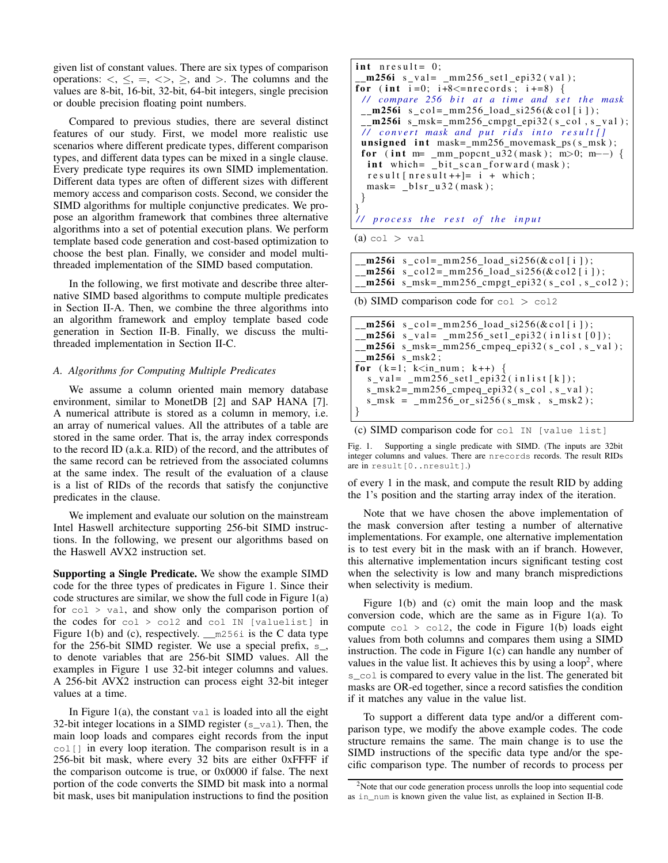given list of constant values. There are six types of comparison operations:  $\langle \xi, \xi, \xi, \xi \rangle$ , and  $\langle \xi, \xi, \xi \rangle$ . The columns and the values are 8-bit, 16-bit, 32-bit, 64-bit integers, single precision or double precision floating point numbers.

Compared to previous studies, there are several distinct features of our study. First, we model more realistic use scenarios where different predicate types, different comparison types, and different data types can be mixed in a single clause. Every predicate type requires its own SIMD implementation. Different data types are often of different sizes with different memory access and comparison costs. Second, we consider the SIMD algorithms for multiple conjunctive predicates. We propose an algorithm framework that combines three alternative algorithms into a set of potential execution plans. We perform template based code generation and cost-based optimization to choose the best plan. Finally, we consider and model multithreaded implementation of the SIMD based computation.

In the following, we first motivate and describe three alternative SIMD based algorithms to compute multiple predicates in Section II-A. Then, we combine the three algorithms into an algorithm framework and employ template based code generation in Section II-B. Finally, we discuss the multithreaded implementation in Section II-C.

# *A. Algorithms for Computing Multiple Predicates*

We assume a column oriented main memory database environment, similar to MonetDB [2] and SAP HANA [7]. A numerical attribute is stored as a column in memory, i.e. an array of numerical values. All the attributes of a table are stored in the same order. That is, the array index corresponds to the record ID (a.k.a. RID) of the record, and the attributes of the same record can be retrieved from the associated columns at the same index. The result of the evaluation of a clause is a list of RIDs of the records that satisfy the conjunctive predicates in the clause.

We implement and evaluate our solution on the mainstream Intel Haswell architecture supporting 256-bit SIMD instructions. In the following, we present our algorithms based on the Haswell AVX2 instruction set.

Supporting a Single Predicate. We show the example SIMD code for the three types of predicates in Figure 1. Since their code structures are similar, we show the full code in Figure 1(a) for  $col$   $>$  val, and show only the comparison portion of the codes for col > col2 and col IN [valuelist] in Figure 1(b) and (c), respectively.  $\text{mod } 56i$  is the C data type for the 256-bit SIMD register. We use a special prefix, s\_, to denote variables that are 256-bit SIMD values. All the examples in Figure 1 use 32-bit integer columns and values. A 256-bit AVX2 instruction can process eight 32-bit integer values at a time.

In Figure 1(a), the constant val is loaded into all the eight 32-bit integer locations in a SIMD register  $(s_{val})$ . Then, the main loop loads and compares eight records from the input col[] in every loop iteration. The comparison result is in a 256-bit bit mask, where every 32 bits are either 0xFFFF if the comparison outcome is true, or 0x0000 if false. The next portion of the code converts the SIMD bit mask into a normal bit mask, uses bit manipulation instructions to find the position

```
int n result = 0;
 \text{m256i s\_val} = \text{mm256\_set1\_epi32} (val);
for (int i=0; i+8 \cdot = nrecords; i+=8) {
 // compare 256 bit at a time and set the mask
 \text{\texttt{m256i}} s _col = _mm256_load_si256(&col[i]);
 \text{\texttt{m256i}} s_msk=_mm256_cmpgt_epi32(s_col,s_val);
 // convert mask and put rids into result[]
 unsigned int mask = _{mm256\_movemask} ps(s\_msk);
 for (int m= _mm_popcnt_u32(mask); m>0; m--) {
  int which = _bit scan forward (mask);
  result[nresult++]= i + which;mask = \_ \blacksquare h s r \blacksquare u 32 (mask);
}
}
/ / p r o c e s s t h e r e s t o f t h e i n p u t
```
 $(a)$  col  $>$  val

 $\text{\texttt{m256i}} \quad \text{s}\text{-}\text{col} = \text{mm256}\text{\texttt{load}}\text{-}\text{si256}(\& \text{col}[i]);$  $\text{m256i s}_\text{1}$  s  $\text{col2} = \text{mm256}_\text{1}$  load  $\text{si256}$  (& c ol 2 [i ]);  $\_m256i$  s $_{rmsk=mm256\_cmpgt\_epi32(s\_col, s\_col2);}$ 

(b) SIMD comparison code for  $col > col2$ 

```
\text{\texttt{m256i}} \quad \text{s}\text{-}\text{col} = \text{mm256}\text{-}\text{load}\text{-}\text{s1256}(\& \text{col}[i]);\text{m256i s_val} = \text{mm256_set1_epi32(intnlist[0]);\text{\texttt{m256i}} s_msk=_mm256_cmpeq_epi32(s_col,s_val);
  m256i s msk2;
for (k=1; k< in num; k++)s_v = val = \text{mm256} \text{ set1} \text{ epi32} (\text{inlist} [k]);s_{\text{msk2} = \text{mm256} \text{cm} peq epi32 (s_{\text{col}}, s_{\text{val}});
   s_{\text{msk}} = \text{mm256}_{\text{or}} = \text{si256} (s_{\text{msk}}, s_{\text{msk2}});}
```

```
(c) SIMD comparison code for col IN [value list]
```
Fig. 1. Supporting a single predicate with SIMD. (The inputs are 32bit integer columns and values. There are nrecords records. The result RIDs are in result[0..nresult].)

of every 1 in the mask, and compute the result RID by adding the 1's position and the starting array index of the iteration.

Note that we have chosen the above implementation of the mask conversion after testing a number of alternative implementations. For example, one alternative implementation is to test every bit in the mask with an if branch. However, this alternative implementation incurs significant testing cost when the selectivity is low and many branch mispredictions when selectivity is medium.

Figure 1(b) and (c) omit the main loop and the mask conversion code, which are the same as in Figure 1(a). To compute  $col > col2$ , the code in Figure 1(b) loads eight values from both columns and compares them using a SIMD instruction. The code in Figure 1(c) can handle any number of values in the value list. It achieves this by using a loop<sup>2</sup>, where s<sub>col</sub> is compared to every value in the list. The generated bit masks are OR-ed together, since a record satisfies the condition if it matches any value in the value list.

To support a different data type and/or a different comparison type, we modify the above example codes. The code structure remains the same. The main change is to use the SIMD instructions of the specific data type and/or the specific comparison type. The number of records to process per

<sup>&</sup>lt;sup>2</sup>Note that our code generation process unrolls the loop into sequential code as in\_num is known given the value list, as explained in Section II-B.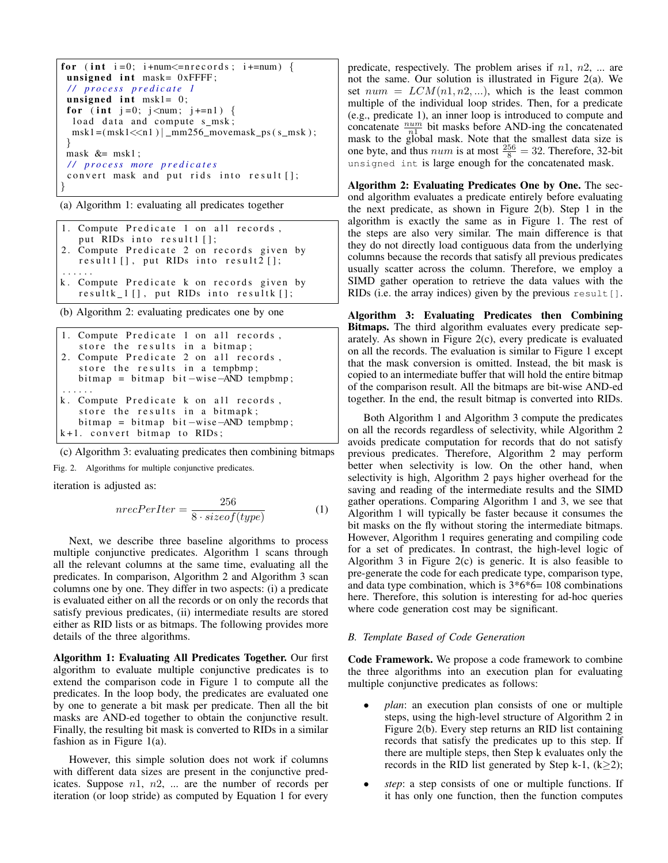```
for (int i=0; i+num \leq=nrecords; i+=num) {
unsigned int mask= 0xFFFF;
 / / p r o c e s s p r e d i c a t e 1
 unsigned int msk1 = 0;
for (int j=0; j < num; j+=n1) {
  load data and compute s_msk;
  msk1 = (msk1 < n1) | mm256_movemask_ps (s_msk);}
mask &= msk1;
 / / p r o c e s s more p r e d i c a t e s
convert mask and put rids into result [];
}
```
(a) Algorithm 1: evaluating all predicates together

```
1. Compute Predicate 1 on all records,
   put RIDs into result1 [];
2. Compute Predicate 2 on records given by
   r e sult [ ], put RIDs into result 2 [ ];
. . . . . .
k. Compute Predicate k on records given by
   resultk_1 [], put RIDs into resultk [];
```
(b) Algorithm 2: evaluating predicates one by one

```
1. Compute Predicate 1 on all records,
   store the results in a bitmap;
2. Compute Predicate 2 on all records,
   store the results in a tempbmp;
   bitemap = bitmap bit = wire - AND tempbmp;. . . . . .
k. Compute Predicate k on all records,
   store the results in a bitmapk;
   bitemap = bitmap bit = wire - AND tempbmp;k+1. convert bitmap to RIDs;
```
(c) Algorithm 3: evaluating predicates then combining bitmaps

Fig. 2. Algorithms for multiple conjunctive predicates.

iteration is adjusted as:

$$
nrecPerIter = \frac{256}{8 \cdot sizeof(type)}\tag{1}
$$

Next, we describe three baseline algorithms to process multiple conjunctive predicates. Algorithm 1 scans through all the relevant columns at the same time, evaluating all the predicates. In comparison, Algorithm 2 and Algorithm 3 scan columns one by one. They differ in two aspects: (i) a predicate is evaluated either on all the records or on only the records that satisfy previous predicates, (ii) intermediate results are stored either as RID lists or as bitmaps. The following provides more details of the three algorithms.

Algorithm 1: Evaluating All Predicates Together. Our first algorithm to evaluate multiple conjunctive predicates is to extend the comparison code in Figure 1 to compute all the predicates. In the loop body, the predicates are evaluated one by one to generate a bit mask per predicate. Then all the bit masks are AND-ed together to obtain the conjunctive result. Finally, the resulting bit mask is converted to RIDs in a similar fashion as in Figure 1(a).

However, this simple solution does not work if columns with different data sizes are present in the conjunctive predicates. Suppose  $n1$ ,  $n2$ , ... are the number of records per iteration (or loop stride) as computed by Equation 1 for every

predicate, respectively. The problem arises if  $n1$ ,  $n2$ , ... are not the same. Our solution is illustrated in Figure 2(a). We set  $num = LCM(n1, n2, ...)$ , which is the least common multiple of the individual loop strides. Then, for a predicate (e.g., predicate 1), an inner loop is introduced to compute and concatenate  $\frac{num}{n!}$  bit masks before AND-ing the concatenated mask to the global mask. Note that the smallest data size is one byte, and thus *num* is at most  $\frac{256}{8} = 32$ . Therefore, 32-bit unsigned int is large enough for the concatenated mask.

Algorithm 2: Evaluating Predicates One by One. The second algorithm evaluates a predicate entirely before evaluating the next predicate, as shown in Figure 2(b). Step 1 in the algorithm is exactly the same as in Figure 1. The rest of the steps are also very similar. The main difference is that they do not directly load contiguous data from the underlying columns because the records that satisfy all previous predicates usually scatter across the column. Therefore, we employ a SIMD gather operation to retrieve the data values with the RIDs (i.e. the array indices) given by the previous result [].

Algorithm 3: Evaluating Predicates then Combining Bitmaps. The third algorithm evaluates every predicate separately. As shown in Figure 2(c), every predicate is evaluated on all the records. The evaluation is similar to Figure 1 except that the mask conversion is omitted. Instead, the bit mask is copied to an intermediate buffer that will hold the entire bitmap of the comparison result. All the bitmaps are bit-wise AND-ed together. In the end, the result bitmap is converted into RIDs.

Both Algorithm 1 and Algorithm 3 compute the predicates on all the records regardless of selectivity, while Algorithm 2 avoids predicate computation for records that do not satisfy previous predicates. Therefore, Algorithm 2 may perform better when selectivity is low. On the other hand, when selectivity is high, Algorithm 2 pays higher overhead for the saving and reading of the intermediate results and the SIMD gather operations. Comparing Algorithm 1 and 3, we see that Algorithm 1 will typically be faster because it consumes the bit masks on the fly without storing the intermediate bitmaps. However, Algorithm 1 requires generating and compiling code for a set of predicates. In contrast, the high-level logic of Algorithm 3 in Figure 2(c) is generic. It is also feasible to pre-generate the code for each predicate type, comparison type, and data type combination, which is  $3*6*6=108$  combinations here. Therefore, this solution is interesting for ad-hoc queries where code generation cost may be significant.

#### *B. Template Based of Code Generation*

Code Framework. We propose a code framework to combine the three algorithms into an execution plan for evaluating multiple conjunctive predicates as follows:

- *plan*: an execution plan consists of one or multiple steps, using the high-level structure of Algorithm 2 in Figure 2(b). Every step returns an RID list containing records that satisfy the predicates up to this step. If there are multiple steps, then Step k evaluates only the records in the RID list generated by Step k-1,  $(k>2)$ ;
- step: a step consists of one or multiple functions. If it has only one function, then the function computes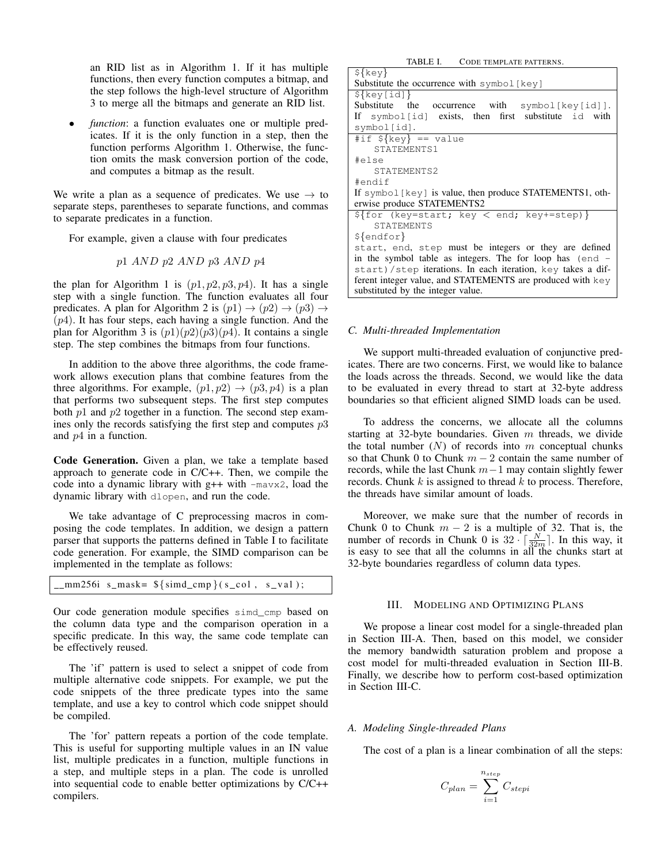an RID list as in Algorithm 1. If it has multiple functions, then every function computes a bitmap, and the step follows the high-level structure of Algorithm 3 to merge all the bitmaps and generate an RID list.

function: a function evaluates one or multiple predicates. If it is the only function in a step, then the function performs Algorithm 1. Otherwise, the function omits the mask conversion portion of the code, and computes a bitmap as the result.

We write a plan as a sequence of predicates. We use  $\rightarrow$  to separate steps, parentheses to separate functions, and commas to separate predicates in a function.

For example, given a clause with four predicates

p1 AND p2 AND p3 AND p4

the plan for Algorithm 1 is  $(p1, p2, p3, p4)$ . It has a single step with a single function. The function evaluates all four predicates. A plan for Algorithm 2 is  $(p1) \rightarrow (p2) \rightarrow (p3) \rightarrow$  $(p4)$ . It has four steps, each having a single function. And the plan for Algorithm 3 is  $(p1)(p2)(p3)(p4)$ . It contains a single step. The step combines the bitmaps from four functions.

In addition to the above three algorithms, the code framework allows execution plans that combine features from the three algorithms. For example,  $(p1, p2) \rightarrow (p3, p4)$  is a plan that performs two subsequent steps. The first step computes both  $p1$  and  $p2$  together in a function. The second step examines only the records satisfying the first step and computes  $p3$ and  $p4$  in a function.

Code Generation. Given a plan, we take a template based approach to generate code in C/C++. Then, we compile the code into a dynamic library with  $g++$  with  $-ma\nu x^2$ , load the dynamic library with dlopen, and run the code.

We take advantage of C preprocessing macros in composing the code templates. In addition, we design a pattern parser that supports the patterns defined in Table I to facilitate code generation. For example, the SIMD comparison can be implemented in the template as follows:

|  |  | $\_mm256i$ s $\_mask = \frac{\text{simd}}{\text{cmd}}(s \_col, s\_val);$ |  |
|--|--|--------------------------------------------------------------------------|--|
|--|--|--------------------------------------------------------------------------|--|

Our code generation module specifies simd\_cmp based on the column data type and the comparison operation in a specific predicate. In this way, the same code template can be effectively reused.

The 'if' pattern is used to select a snippet of code from multiple alternative code snippets. For example, we put the code snippets of the three predicate types into the same template, and use a key to control which code snippet should be compiled.

The 'for' pattern repeats a portion of the code template. This is useful for supporting multiple values in an IN value list, multiple predicates in a function, multiple functions in a step, and multiple steps in a plan. The code is unrolled into sequential code to enable better optimizations by C/C++ compilers.

| TABLE I. CODE TEMPLATE PATTERNS.                            |  |  |  |
|-------------------------------------------------------------|--|--|--|
| $\S$ {key}                                                  |  |  |  |
| Substitute the occurrence with $symbol[key]$                |  |  |  |
| $\S$ {key[id]}                                              |  |  |  |
| Substitute the occurrence with symbol [key[id]].            |  |  |  |
| If symbol [id] exists, then first substitute id with        |  |  |  |
| symbol[id].                                                 |  |  |  |
| #if $\S$ {key} == value                                     |  |  |  |
| STATEMENTS1                                                 |  |  |  |
| #else                                                       |  |  |  |
| STATEMENTS2                                                 |  |  |  |
| #endif                                                      |  |  |  |
| If symbol [key] is value, then produce STATEMENTS1, oth-    |  |  |  |
| erwise produce STATEMENTS2                                  |  |  |  |
| $\S$ {for (key=start; key < end; key+=step)}                |  |  |  |
| <b>STATEMENTS</b>                                           |  |  |  |
| $\{endfor\}$                                                |  |  |  |
| start, end, step must be integers or they are defined       |  |  |  |
| in the symbol table as integers. The for loop has (end -    |  |  |  |
| start)/step iterations. In each iteration, key takes a dif- |  |  |  |
| ferent integer value, and STATEMENTS are produced with key  |  |  |  |
| substituted by the integer value.                           |  |  |  |
|                                                             |  |  |  |

# *C. Multi-threaded Implementation*

We support multi-threaded evaluation of conjunctive predicates. There are two concerns. First, we would like to balance the loads across the threads. Second, we would like the data to be evaluated in every thread to start at 32-byte address boundaries so that efficient aligned SIMD loads can be used.

To address the concerns, we allocate all the columns starting at 32-byte boundaries. Given  $m$  threads, we divide the total number  $(N)$  of records into m conceptual chunks so that Chunk 0 to Chunk  $m - 2$  contain the same number of records, while the last Chunk  $m-1$  may contain slightly fewer records. Chunk  $k$  is assigned to thread  $k$  to process. Therefore, the threads have similar amount of loads.

Moreover, we make sure that the number of records in Chunk 0 to Chunk  $m - 2$  is a multiple of 32. That is, the number of records in Chunk 0 is  $32 \cdot \lceil \frac{N}{32m} \rceil$ . In this way, it is easy to see that all the columns in all the chunks start at 32-byte boundaries regardless of column data types.

# III. MODELING AND OPTIMIZING PLANS

We propose a linear cost model for a single-threaded plan in Section III-A. Then, based on this model, we consider the memory bandwidth saturation problem and propose a cost model for multi-threaded evaluation in Section III-B. Finally, we describe how to perform cost-based optimization in Section III-C.

#### *A. Modeling Single-threaded Plans*

The cost of a plan is a linear combination of all the steps:

$$
C_{plan} = \sum_{i=1}^{n_{step}} C_{stepi}
$$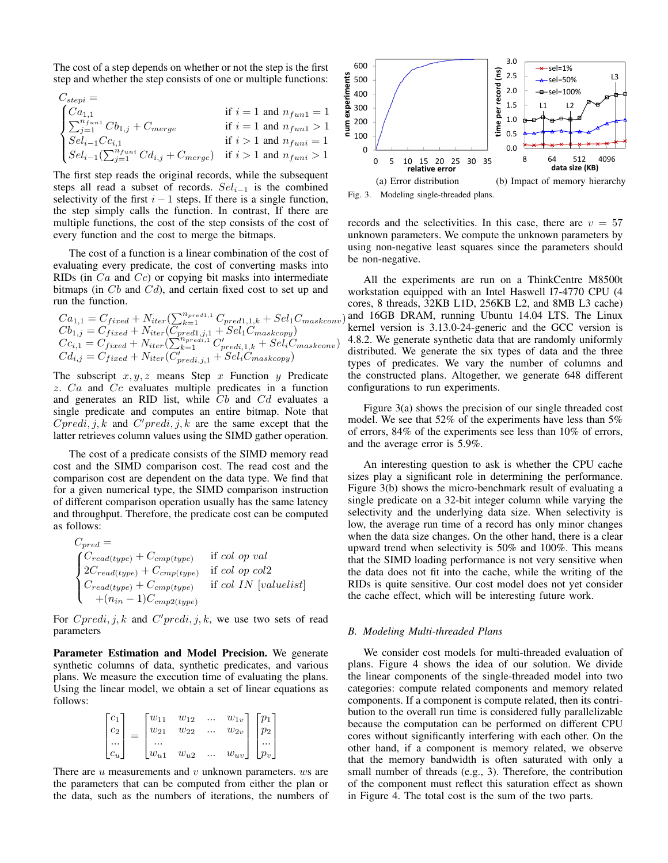The cost of a step depends on whether or not the step is the first step and whether the step consists of one or multiple functions:

$$
C_{stepi} = \n\begin{cases} C a_{1,1} & \text{if } i = 1 \text{ and } n_{fun1} = 1 \\ \sum_{j=1}^{n_{fun1}} C b_{1,j} + C_{merge} & \text{if } i = 1 \text{ and } n_{fun1} > 1 \\ S e l_{i-1} C c_{i,1} & \text{if } i > 1 \text{ and } n_{funi} = 1 \\ S e l_{i-1} (\sum_{j=1}^{n_{funi}} C d_{i,j} + C_{merge}) & \text{if } i > 1 \text{ and } n_{funi} > 1 \end{cases}
$$

The first step reads the original records, while the subsequent steps all read a subset of records.  $Sel<sub>i-1</sub>$  is the combined selectivity of the first  $i - 1$  steps. If there is a single function, the step simply calls the function. In contrast, If there are multiple functions, the cost of the step consists of the cost of every function and the cost to merge the bitmaps.

The cost of a function is a linear combination of the cost of evaluating every predicate, the cost of converting masks into RIDs (in  $Ca$  and  $Cc$ ) or copying bit masks into intermediate bitmaps (in  $Cb$  and  $Cd$ ), and certain fixed cost to set up and run the function.

$$
Ca_{1,1} = C_{fixed} + N_{iter}(\sum_{k=1}^{n_{pred1,1}} C_{pred1,1,k} + Sel_1C_{maskconv})
$$
  
\n
$$
Cb_{1,j} = C_{fixed} + N_{iter}(C_{pred1,j,1} + Sel_1C_{maskcopy})
$$
  
\n
$$
Cc_{i,1} = C_{fixed} + N_{iter}(\sum_{k=1}^{n_{predi,1}} C'_{predi,1,k} + Sel_iC_{maskconv})
$$
  
\n
$$
Cd_{i,j} = C_{fixed} + N_{iter}(C'_{predi,j,1} + Sel_iC_{maskcopy})
$$

The subscript  $x, y, z$  means Step x Function y Predicate z. Ca and Cc evaluates multiple predicates in a function and generates an RID list, while  $Cb$  and  $Cd$  evaluates a single predicate and computes an entire bitmap. Note that  $C_{\text{pred}}$ , j, k and  $C_{\text{pred}}$ , j, k are the same except that the latter retrieves column values using the SIMD gather operation.

The cost of a predicate consists of the SIMD memory read cost and the SIMD comparison cost. The read cost and the comparison cost are dependent on the data type. We find that for a given numerical type, the SIMD comparison instruction of different comparison operation usually has the same latency and throughput. Therefore, the predicate cost can be computed as follows:

$$
C_{pred} =
$$
\n
$$
\begin{cases}\nC_{read(type)} + C_{cmp(type)} & \text{if col op val} \\
2C_{read(type)} + C_{cmp(type)} & \text{if col op col2} \\
C_{read(type)} + C_{cmp(type)} & \text{if col IN [valuelist]} \\
+(n_{in}-1)C_{cmp2(type)}\n\end{cases}
$$

For  $Cpredi, j, k$  and  $C'predi, j, k$ , we use two sets of read parameters

Parameter Estimation and Model Precision. We generate synthetic columns of data, synthetic predicates, and various plans. We measure the execution time of evaluating the plans. Using the linear model, we obtain a set of linear equations as follows:

$$
\begin{bmatrix} c_1 \\ c_2 \\ \dots \\ c_u \end{bmatrix} = \begin{bmatrix} w_{11} & w_{12} & \dots & w_{1v} \\ w_{21} & w_{22} & \dots & w_{2v} \\ \dots & \dots & \dots & \dots \\ w_{u1} & w_{u2} & \dots & w_{uv} \end{bmatrix} \begin{bmatrix} p_1 \\ p_2 \\ \dots \\ p_v \end{bmatrix}
$$

There are  $u$  measurements and  $v$  unknown parameters.  $ws$  are the parameters that can be computed from either the plan or the data, such as the numbers of iterations, the numbers of



Fig. 3. Modeling single-threaded plans.

records and the selectivities. In this case, there are  $v = 57$ unknown parameters. We compute the unknown parameters by using non-negative least squares since the parameters should be non-negative.

All the experiments are run on a ThinkCentre M8500t workstation equipped with an Intel Haswell I7-4770 CPU (4 cores, 8 threads, 32KB L1D, 256KB L2, and 8MB L3 cache)  $(a, b)$  and 16GB DRAM, running Ubuntu 14.04 LTS. The Linux kernel version is 3.13.0-24-generic and the GCC version is 4.8.2. We generate synthetic data that are randomly uniformly distributed. We generate the six types of data and the three types of predicates. We vary the number of columns and the constructed plans. Altogether, we generate 648 different configurations to run experiments.

Figure 3(a) shows the precision of our single threaded cost model. We see that 52% of the experiments have less than 5% of errors, 84% of the experiments see less than 10% of errors, and the average error is 5.9%.

An interesting question to ask is whether the CPU cache sizes play a significant role in determining the performance. Figure 3(b) shows the micro-benchmark result of evaluating a single predicate on a 32-bit integer column while varying the selectivity and the underlying data size. When selectivity is low, the average run time of a record has only minor changes when the data size changes. On the other hand, there is a clear upward trend when selectivity is 50% and 100%. This means that the SIMD loading performance is not very sensitive when the data does not fit into the cache, while the writing of the RIDs is quite sensitive. Our cost model does not yet consider the cache effect, which will be interesting future work.

#### *B. Modeling Multi-threaded Plans*

We consider cost models for multi-threaded evaluation of plans. Figure 4 shows the idea of our solution. We divide the linear components of the single-threaded model into two categories: compute related components and memory related components. If a component is compute related, then its contribution to the overall run time is considered fully parallelizable because the computation can be performed on different CPU cores without significantly interfering with each other. On the other hand, if a component is memory related, we observe that the memory bandwidth is often saturated with only a small number of threads (e.g., 3). Therefore, the contribution of the component must reflect this saturation effect as shown in Figure 4. The total cost is the sum of the two parts.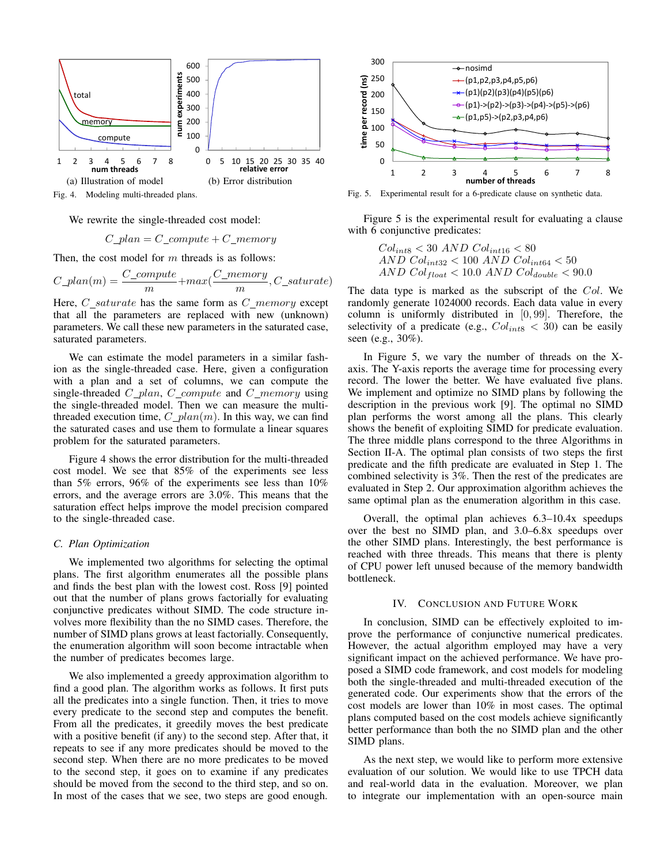

We rewrite the single-threaded cost model:

$$
C\_plan = C\_compute + C\_memory
$$

Then, the cost model for  $m$  threads is as follows:

$$
C\_plan(m) = \frac{C\_compute}{m} + max(\frac{C\_memory}{m}, C\_saturate)
$$

Here,  $C\_saturated$  has the same form as  $C\_memory$  except that all the parameters are replaced with new (unknown) parameters. We call these new parameters in the saturated case, saturated parameters.

We can estimate the model parameters in a similar fashion as the single-threaded case. Here, given a configuration with a plan and a set of columns, we can compute the single-threaded  $C_{\_}plan$ ,  $C_{\_}complex$  and  $C_{\_}memory$  using the single-threaded model. Then we can measure the multithreaded execution time,  $C_{\mathcal{L}}$  plan(m). In this way, we can find the saturated cases and use them to formulate a linear squares problem for the saturated parameters.

Figure 4 shows the error distribution for the multi-threaded cost model. We see that 85% of the experiments see less than 5% errors, 96% of the experiments see less than 10% errors, and the average errors are 3.0%. This means that the saturation effect helps improve the model precision compared to the single-threaded case.

# *C. Plan Optimization*

We implemented two algorithms for selecting the optimal plans. The first algorithm enumerates all the possible plans and finds the best plan with the lowest cost. Ross [9] pointed out that the number of plans grows factorially for evaluating conjunctive predicates without SIMD. The code structure involves more flexibility than the no SIMD cases. Therefore, the number of SIMD plans grows at least factorially. Consequently, the enumeration algorithm will soon become intractable when the number of predicates becomes large.

We also implemented a greedy approximation algorithm to find a good plan. The algorithm works as follows. It first puts all the predicates into a single function. Then, it tries to move every predicate to the second step and computes the benefit. From all the predicates, it greedily moves the best predicate with a positive benefit (if any) to the second step. After that, it repeats to see if any more predicates should be moved to the second step. When there are no more predicates to be moved to the second step, it goes on to examine if any predicates should be moved from the second to the third step, and so on. In most of the cases that we see, two steps are good enough.



Fig. 5. Experimental result for a 6-predicate clause on synthetic data.

Figure 5 is the experimental result for evaluating a clause with 6 conjunctive predicates:

$$
Col_{int8} < 30 \ AND \ Col_{int16} < 80
$$
\n
$$
AND \ Col_{int32} < 100 \ AND \ Col_{int64} < 50
$$
\n
$$
AND \ Col_{float} < 10.0 \ AND \ Col_{double} < 90.0
$$

The data type is marked as the subscript of the Col. We randomly generate 1024000 records. Each data value in every column is uniformly distributed in  $[0, 99]$ . Therefore, the selectivity of a predicate (e.g.,  $Col_{int8} < 30$ ) can be easily seen (e.g., 30%).

In Figure 5, we vary the number of threads on the Xaxis. The Y-axis reports the average time for processing every record. The lower the better. We have evaluated five plans. We implement and optimize no SIMD plans by following the description in the previous work [9]. The optimal no SIMD plan performs the worst among all the plans. This clearly shows the benefit of exploiting SIMD for predicate evaluation. The three middle plans correspond to the three Algorithms in Section II-A. The optimal plan consists of two steps the first predicate and the fifth predicate are evaluated in Step 1. The combined selectivity is 3%. Then the rest of the predicates are evaluated in Step 2. Our approximation algorithm achieves the same optimal plan as the enumeration algorithm in this case.

Overall, the optimal plan achieves 6.3–10.4x speedups over the best no SIMD plan, and 3.0–6.8x speedups over the other SIMD plans. Interestingly, the best performance is reached with three threads. This means that there is plenty of CPU power left unused because of the memory bandwidth bottleneck.

## IV. CONCLUSION AND FUTURE WORK

In conclusion, SIMD can be effectively exploited to improve the performance of conjunctive numerical predicates. However, the actual algorithm employed may have a very significant impact on the achieved performance. We have proposed a SIMD code framework, and cost models for modeling both the single-threaded and multi-threaded execution of the generated code. Our experiments show that the errors of the cost models are lower than 10% in most cases. The optimal plans computed based on the cost models achieve significantly better performance than both the no SIMD plan and the other SIMD plans.

As the next step, we would like to perform more extensive evaluation of our solution. We would like to use TPCH data and real-world data in the evaluation. Moreover, we plan to integrate our implementation with an open-source main